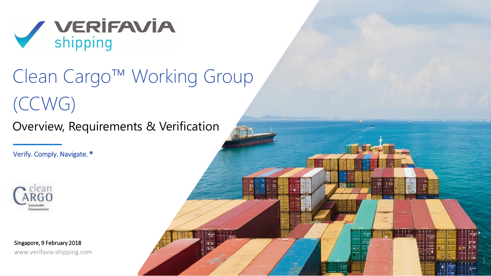

# Clean Cargo™ Working Group (CCWG)

ww.verifavia-shipping.com Confidential Proposal in the Confidential Proposal in the Confidential Confidential D

Overview, Requirements & Verification

Verify. Comply. Navigate. ®



Singapore, 9 February 2018 www.verifavia-shipping.com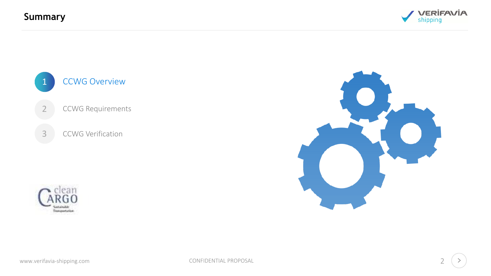**Summary**







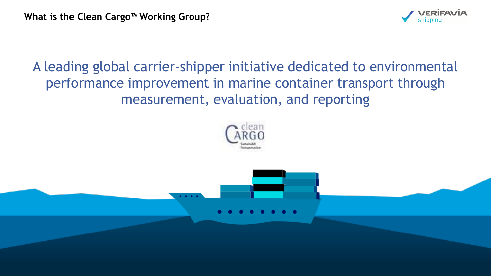

A leading global carrier-shipper initiative dedicated to environmental performance improvement in marine container transport through measurement, evaluation, and reporting

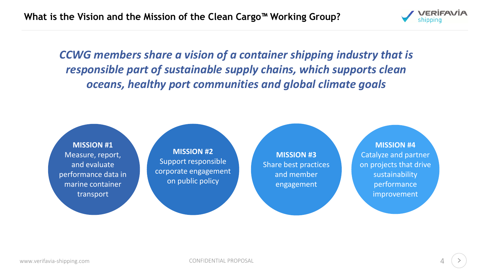

*CCWG members share a vision of a container shipping industry that is responsible part of sustainable supply chains, which supports clean oceans, healthy port communities and global climate goals*

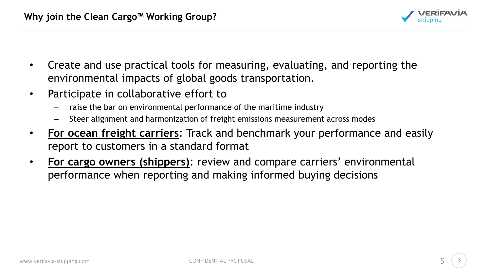

- Create and use practical tools for measuring, evaluating, and reporting the environmental impacts of global goods transportation.
- Participate in collaborative effort to
	- raise the bar on environmental performance of the maritime industry
	- Steer alignment and harmonization of freight emissions measurement across modes
- **For ocean freight carriers**: Track and benchmark your performance and easily report to customers in a standard format
- **For cargo owners (shippers)**: review and compare carriers' environmental performance when reporting and making informed buying decisions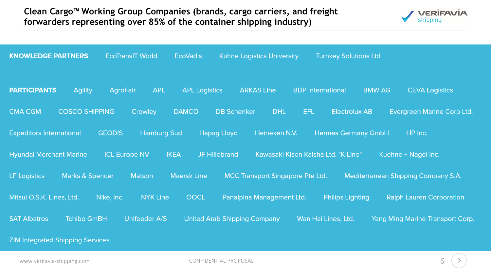#### **Clean Cargo™ Working Group Companies (brands, cargo carriers, and freight forwarders representing over 85% of the container shipping industry)**



| <b>KNOWLEDGE PARTNERS</b>                         | <b>EcoTransIT World</b>             | <b>EcoVadis</b>                     | <b>Kuhne Logistics University</b> | <b>Turnkey Solutions Ltd</b>        |                                         |
|---------------------------------------------------|-------------------------------------|-------------------------------------|-----------------------------------|-------------------------------------|-----------------------------------------|
| <b>PARTICIPANTS</b><br><b>Agility</b>             | <b>AgroFair</b><br><b>APL</b>       | <b>APL Logistics</b>                | <b>ARKAS Line</b>                 | <b>BDP</b> International            | <b>BMW AG</b><br><b>CEVA Logistics</b>  |
| <b>COSCO SHIPPING</b><br><b>CMA CGM</b>           | Crowley                             | <b>DAMCO</b>                        | <b>DB Schenker</b><br><b>DHL</b>  | EFL<br><b>Electrolux AB</b>         | Evergreen Marine Corp Ltd.              |
| <b>Expeditors International</b>                   | <b>GEODIS</b><br><b>Hamburg Sud</b> | <b>Hapag Lloyd</b>                  | Heineken N.V.                     | <b>Hermes Germany GmbH</b>          | HP Inc.                                 |
| <b>Hyundai Merchant Marine</b>                    | <b>ICL Europe NV</b>                | <b>IKEA</b><br><b>JF Hillebrand</b> |                                   | Kawasaki Kisen Kaisha Ltd. "K-Line" | Kuehne + Nagel Inc.                     |
| <b>LF</b> Logistics<br><b>Marks &amp; Spencer</b> | <b>Matson</b>                       | <b>Maersk Line</b>                  | MCC Transport Singapore Pte Ltd.  |                                     | Mediterranean Shipping Company S.A.     |
| Mitsui O.S.K. Lines, Ltd.                         | <b>NYK Line</b><br>Nike, Inc.       | OOCL                                | Panalpina Management Ltd.         | <b>Philips Lighting</b>             | <b>Ralph Lauren Corporation</b>         |
| <b>SAT Albatros</b><br><b>Tchibo GmBH</b>         | Unifeeder A/S                       | <b>United Arab Shipping Company</b> |                                   | Wan Hai Lines, Ltd.                 | <b>Yang Ming Marine Transport Corp.</b> |
| <b>ZIM Integrated Shipping Services</b>           |                                     |                                     |                                   |                                     |                                         |

www.verifavia-shipping.com example of the control confidential PROPOSAL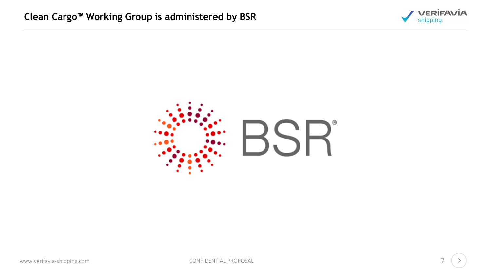

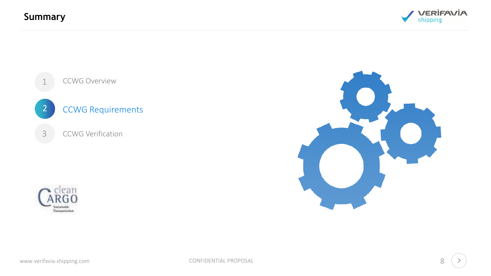**Summary**









www.verifavia-shipping.com **CONFIDENTIAL PROPOSAL**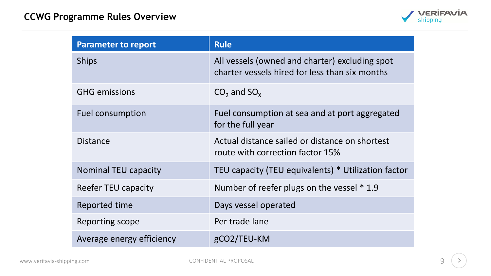

| <b>Parameter to report</b> | <b>Rule</b>                                                                                      |  |
|----------------------------|--------------------------------------------------------------------------------------------------|--|
| <b>Ships</b>               | All vessels (owned and charter) excluding spot<br>charter vessels hired for less than six months |  |
| <b>GHG emissions</b>       | $CO2$ and $SOx$                                                                                  |  |
| <b>Fuel consumption</b>    | Fuel consumption at sea and at port aggregated<br>for the full year                              |  |
| <b>Distance</b>            | Actual distance sailed or distance on shortest<br>route with correction factor 15%               |  |
| Nominal TEU capacity       | TEU capacity (TEU equivalents) * Utilization factor                                              |  |
| Reefer TEU capacity        | Number of reefer plugs on the vessel * 1.9                                                       |  |
| Reported time              | Days vessel operated                                                                             |  |
| Reporting scope            | Per trade lane                                                                                   |  |
| Average energy efficiency  | gCO2/TEU-KM                                                                                      |  |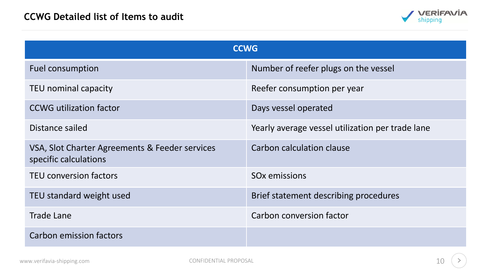

| <b>CCWG</b>                                                             |                                                  |  |  |  |
|-------------------------------------------------------------------------|--------------------------------------------------|--|--|--|
| Fuel consumption                                                        | Number of reefer plugs on the vessel             |  |  |  |
| TEU nominal capacity                                                    | Reefer consumption per year                      |  |  |  |
| <b>CCWG</b> utilization factor                                          | Days vessel operated                             |  |  |  |
| Distance sailed                                                         | Yearly average vessel utilization per trade lane |  |  |  |
| VSA, Slot Charter Agreements & Feeder services<br>specific calculations | Carbon calculation clause                        |  |  |  |
| <b>TEU conversion factors</b>                                           | SO <sub>x</sub> emissions                        |  |  |  |
| TEU standard weight used                                                | Brief statement describing procedures            |  |  |  |
| <b>Trade Lane</b>                                                       | Carbon conversion factor                         |  |  |  |
| Carbon emission factors                                                 |                                                  |  |  |  |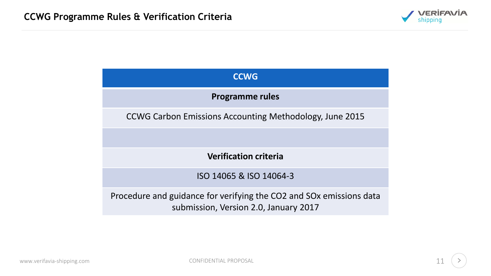

### **CCWG Programme rules** CCWG Carbon Emissions Accounting Methodology, June 2015 **Verification criteria** ISO 14065 & ISO 14064-3 Procedure and guidance for verifying the CO2 and SOx emissions data submission, Version 2.0, January 2017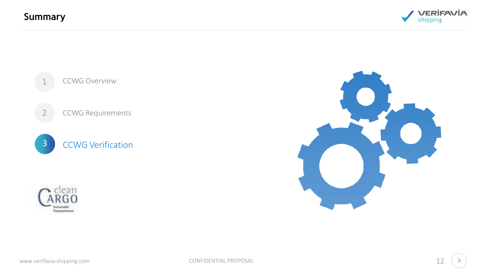**Summary**







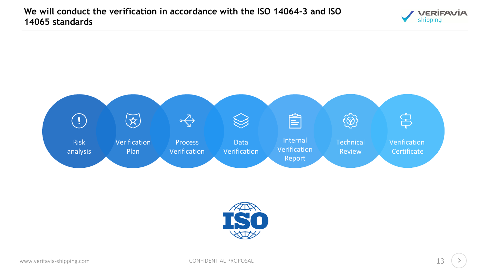



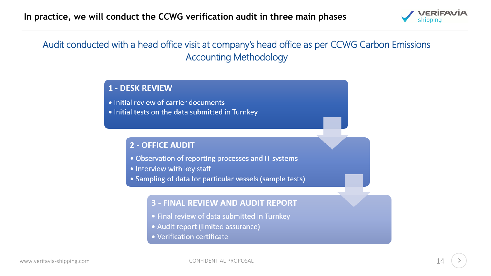

#### Audit conducted with a head office visit at company's head office as per CCWG Carbon Emissions Accounting Methodology

#### **1 - DESK REVIEW**

- . Initial review of carrier documents
- . Initial tests on the data submitted in Turnkey

#### **2 - OFFICE AUDIT**

- Observation of reporting processes and IT systems
- Interview with key staff
- Sampling of data for particular vessels (sample tests)

#### **3 - FINAL REVIEW AND AUDIT REPORT**

- Final review of data submitted in Turnkey
- Audit report (limited assurance)
- Verification certificate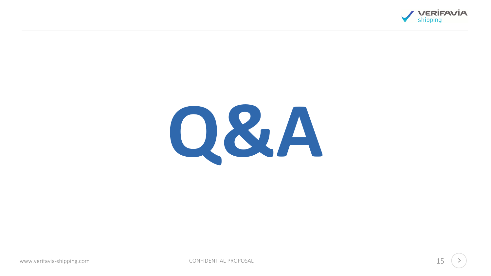